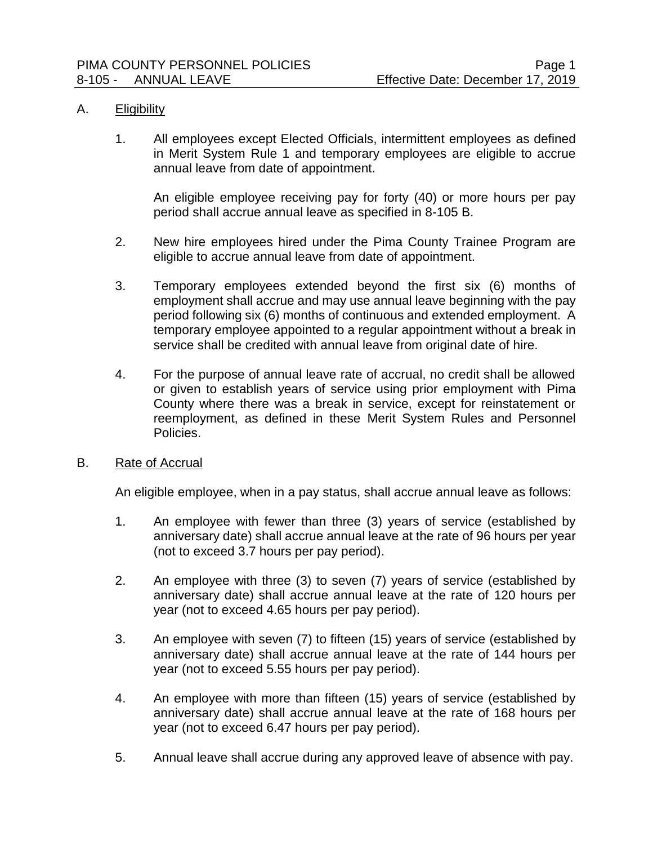### A. Eligibility

1. All employees except Elected Officials, intermittent employees as defined in Merit System Rule 1 and temporary employees are eligible to accrue annual leave from date of appointment.

An eligible employee receiving pay for forty (40) or more hours per pay period shall accrue annual leave as specified in 8-105 B.

- 2. New hire employees hired under the Pima County Trainee Program are eligible to accrue annual leave from date of appointment.
- 3. Temporary employees extended beyond the first six (6) months of employment shall accrue and may use annual leave beginning with the pay period following six (6) months of continuous and extended employment. A temporary employee appointed to a regular appointment without a break in service shall be credited with annual leave from original date of hire.
- 4. For the purpose of annual leave rate of accrual, no credit shall be allowed or given to establish years of service using prior employment with Pima County where there was a break in service, except for reinstatement or reemployment, as defined in these Merit System Rules and Personnel Policies.

### B. Rate of Accrual

An eligible employee, when in a pay status, shall accrue annual leave as follows:

- 1. An employee with fewer than three (3) years of service (established by anniversary date) shall accrue annual leave at the rate of 96 hours per year (not to exceed 3.7 hours per pay period).
- 2. An employee with three (3) to seven (7) years of service (established by anniversary date) shall accrue annual leave at the rate of 120 hours per year (not to exceed 4.65 hours per pay period).
- 3. An employee with seven (7) to fifteen (15) years of service (established by anniversary date) shall accrue annual leave at the rate of 144 hours per year (not to exceed 5.55 hours per pay period).
- 4. An employee with more than fifteen (15) years of service (established by anniversary date) shall accrue annual leave at the rate of 168 hours per year (not to exceed 6.47 hours per pay period).
- 5. Annual leave shall accrue during any approved leave of absence with pay.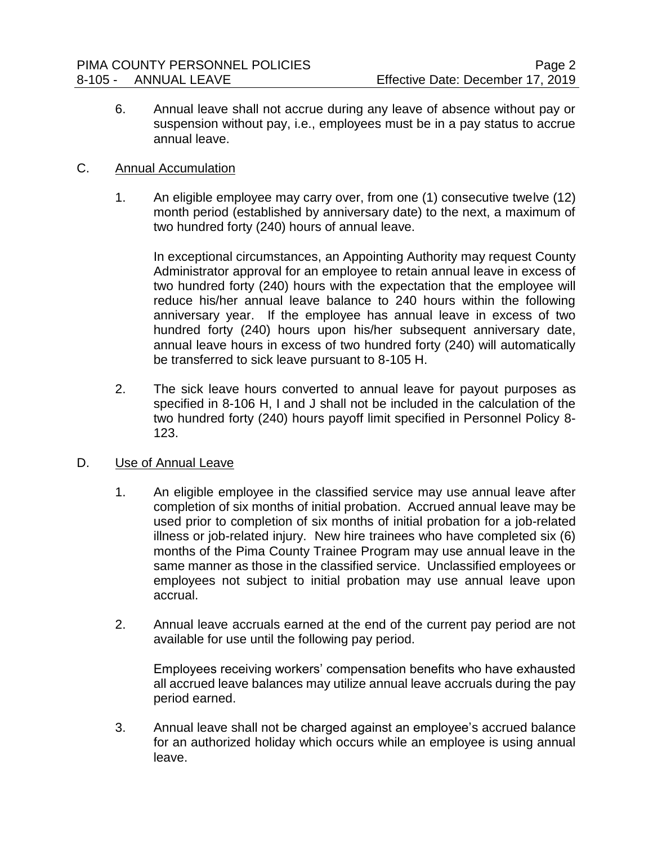6. Annual leave shall not accrue during any leave of absence without pay or suspension without pay, i.e., employees must be in a pay status to accrue annual leave.

## C. Annual Accumulation

1. An eligible employee may carry over, from one (1) consecutive twelve (12) month period (established by anniversary date) to the next, a maximum of two hundred forty (240) hours of annual leave.

In exceptional circumstances, an Appointing Authority may request County Administrator approval for an employee to retain annual leave in excess of two hundred forty (240) hours with the expectation that the employee will reduce his/her annual leave balance to 240 hours within the following anniversary year. If the employee has annual leave in excess of two hundred forty (240) hours upon his/her subsequent anniversary date, annual leave hours in excess of two hundred forty (240) will automatically be transferred to sick leave pursuant to 8-105 H.

2. The sick leave hours converted to annual leave for payout purposes as specified in 8-106 H, I and J shall not be included in the calculation of the two hundred forty (240) hours payoff limit specified in Personnel Policy 8- 123.

# D. Use of Annual Leave

- 1. An eligible employee in the classified service may use annual leave after completion of six months of initial probation. Accrued annual leave may be used prior to completion of six months of initial probation for a job-related illness or job-related injury. New hire trainees who have completed six (6) months of the Pima County Trainee Program may use annual leave in the same manner as those in the classified service. Unclassified employees or employees not subject to initial probation may use annual leave upon accrual.
- 2. Annual leave accruals earned at the end of the current pay period are not available for use until the following pay period.

Employees receiving workers' compensation benefits who have exhausted all accrued leave balances may utilize annual leave accruals during the pay period earned.

3. Annual leave shall not be charged against an employee's accrued balance for an authorized holiday which occurs while an employee is using annual leave.